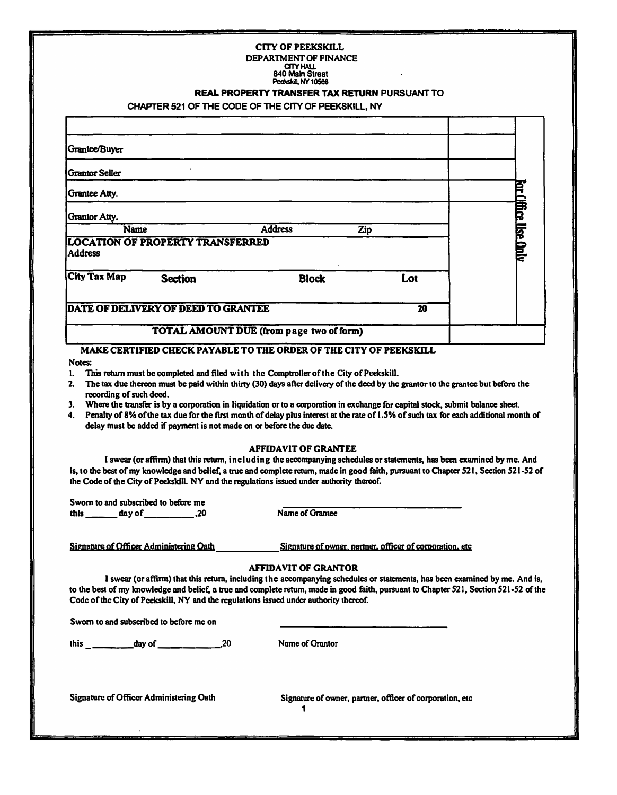## **CITY OF PEEKSKILL DEPARTMENT OF FINANCE**

### **CnYHAU. 840 Main Streat Peelcslcill,NY10566**

#### REAL PROPERTY TRANSFER TAX RETURN PURSUANT TO

#### **CHAPTER 521 OF THE CODE OF THE CITY OF PEEKSKILL, NY**

| Grantee/Buyer                                             |                                          |     |              |
|-----------------------------------------------------------|------------------------------------------|-----|--------------|
| <b>Grantor Seller</b>                                     |                                          |     |              |
| <b>Grantee Atty.</b>                                      |                                          |     |              |
| <b>Grantor Atty.</b>                                      |                                          |     | ß            |
| Name                                                      | <b>Address</b>                           | Zip | 同            |
| <b>LOCATION OF PROPERTY TRANSFERRED</b><br><b>Address</b> |                                          |     | <b>Chine</b> |
| <b>City Tax Map</b><br><b>Section</b>                     | <b>Block</b>                             | Lot |              |
| DATE OF DELIVERY OF DEED TO GRANTEE                       |                                          |     | 20           |
|                                                           | TOTAL AMOUNT DUE (from page two of form) |     |              |

### **MAKE CERTIFIED CHECK PAY ABLE TO THE ORDER OF THE CITY OF PEEKSKILL**

#### **Notes:**

- **1. This return must be completed and filed with the Comptroller of the City of Peekskill.**
- 2. The tax due thereon must be paid within thirty (30) days after delivery of the deed by the grantor to the grantee but before the **recording of such deed.**
- **3. Where the transfer is by a corporation in liquidation or to a corporation in exchange for capital stock. submit balance sheet.**
- **4. Penalty of8% of the tax due for the first month of delay plus interest at the rate of 1.5% of such tax for each additional month of delay must be added if payment is not made on or before the due date.**

#### **AFFIDAVIT OF GRANTEE**

**I swear (or aftinn) that this return, including the aceompanying schedules or statements, has been examined by me. And**  is, to the best of my knowledge and belief, a true and complete return, made in good faith, pursuant to Chapter 521, Section 521-52 of the Code of the City of Peckskill. NY and the regulations issued under authority thereof.

**Sworn to and subscribed to before me**  this \_\_\_\_\_\_ day of \_\_\_\_\_\_\_\_\_\_\_,20 Name of Grantee

**Signature of Officer Administering Oath <br>Signature of corporation, etc.** Signature of owner, partner, officer of corporation, etc.

#### **AFFIDAVIT OF GRANTOR**

**I swear (or affirm) that this return, including the accompanying schedules or statements, has been examined by me. And is, to the best of my knowledge and belief, a ttuc and complete return, made in good faith, pursuant to Chapter S21, Scc:tion 521-S2 of the**  Code of the City of Peekskill, NY and the regulations issued under authority thereof.

**Sworn to and subscribed to before me on** 

this  $\frac{1}{2}$  day of  $\frac{1}{2}$  ...

**Nome of Orontor** 

**Signature of Officer Administering Oath** 

Signature of owner, partner, officer of corporation, etc

**1**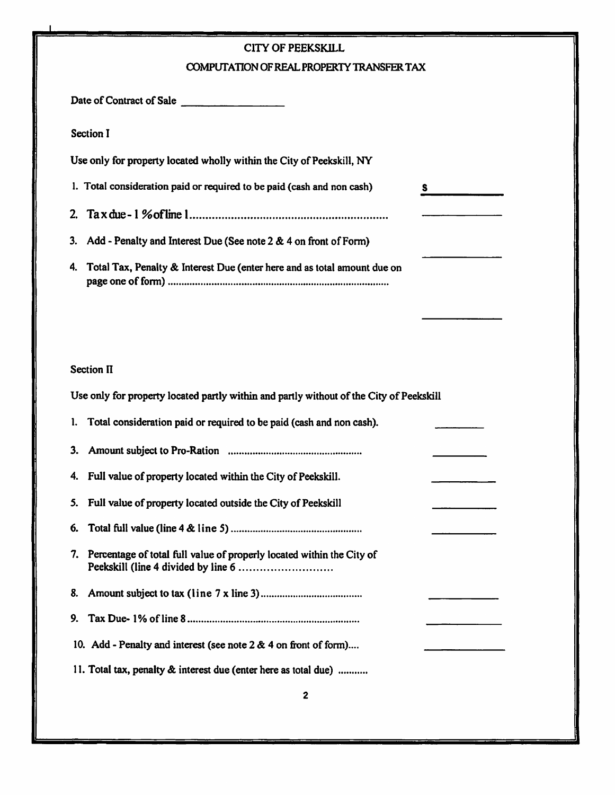| <b>CITY OF PEEKSKILL</b>                                                                |  |  |  |  |  |
|-----------------------------------------------------------------------------------------|--|--|--|--|--|
| COMPUTATION OF REAL PROPERTY TRANSFER TAX                                               |  |  |  |  |  |
| Date of Contract of Sale                                                                |  |  |  |  |  |
| <b>Section I</b>                                                                        |  |  |  |  |  |
| Use only for property located wholly within the City of Peekskill, NY                   |  |  |  |  |  |
| 1. Total consideration paid or required to be paid (cash and non cash)<br>S.            |  |  |  |  |  |
| 2.                                                                                      |  |  |  |  |  |
| Add - Penalty and Interest Due (See note 2 & 4 on front of Form)<br>3.                  |  |  |  |  |  |
| Total Tax, Penalty & Interest Due (enter here and as total amount due on<br>4.          |  |  |  |  |  |
|                                                                                         |  |  |  |  |  |
|                                                                                         |  |  |  |  |  |
|                                                                                         |  |  |  |  |  |
| <b>Section II</b>                                                                       |  |  |  |  |  |
| Use only for property located partly within and partly without of the City of Peekskill |  |  |  |  |  |
| Total consideration paid or required to be paid (cash and non cash).<br>1.              |  |  |  |  |  |
| 3.                                                                                      |  |  |  |  |  |
| Full value of property located within the City of Peekskill.<br>4.                      |  |  |  |  |  |
| Full value of property located outside the City of Peekskill<br>5.                      |  |  |  |  |  |
| 6.                                                                                      |  |  |  |  |  |
| Percentage of total full value of properly located within the City of<br>7.             |  |  |  |  |  |
| 8.                                                                                      |  |  |  |  |  |
| 9.                                                                                      |  |  |  |  |  |
| 10. Add - Penalty and interest (see note $2 & 4$ on front of form)                      |  |  |  |  |  |
| 11. Total tax, penalty & interest due (enter here as total due)                         |  |  |  |  |  |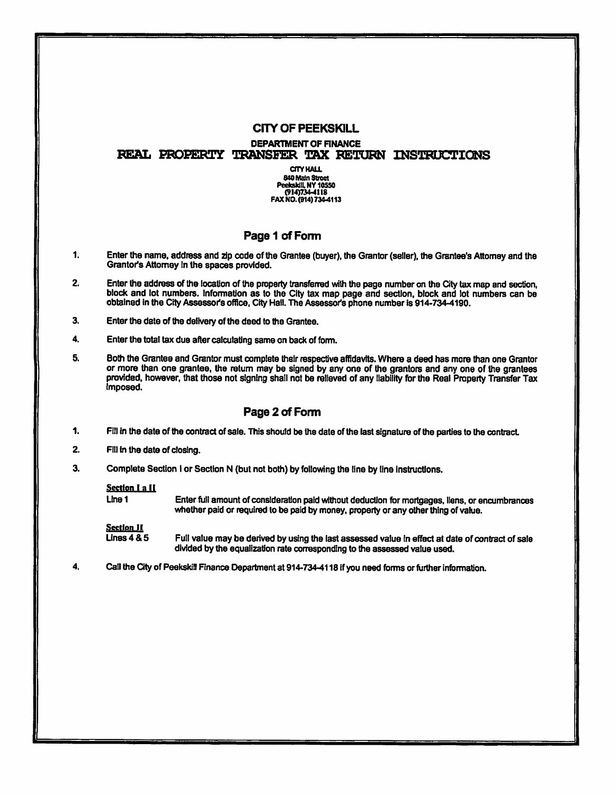# **CITY OF PEEKSKILL**

**DEPARTMENT OF FINANCE** 

REAL PROPERTY TRANSFER TAX RETURN INSTRUCTIONS

**CITY HALL** 840 Main Stroot Peekskill, NY 10550<br>(914)734-4118 FAX NO. (914) 734-4113

# Page 1 of Form

- $\mathbf{1}$ Enter the name, address and zip code of the Grantee (buyer), the Grantor (seller), the Grantee's Attorney and the Grantor's Attorney in the spaces provided.
- Enter the address of the location of the property transferred with the page number on the City tax map and section, 2. block and lot numbers. Information as to the City tax map page and section, block and lot numbers can be obtained in the City Assessor's office, City Hall. The Assessor's phone number is 914-734-4190.
- 3. Enter the date of the delivery of the deed to the Grantee.
- 4. Enter the total tax due after calculating same on back of form.
- 5. Both the Grantee and Grantor must complete their respective affidavits. Where a deed has more than one Grantor or more than one grantee, the return may be signed by any one of the grantors and any one of the grantees provided, however, that those not signing shall not be relieved of any liability for the Real Property Transfer Tax imposed.

# Page 2 of Form

- 1. Fill in the date of the contract of sale. This should be the date of the last signature of the parties to the contract.
- $2.$ Fill in the date of closing.
- 3. Complete Section I or Section N (but not both) by following the line by line instructions.

#### Section I a II

Line 1 Enter full amount of consideration paid without deduction for mortgages, liens, or encumbrances whether paid or required to be paid by money, property or any other thing of value.

Section JI

**Lines 4 & 5** Full value may be derived by using the last assessed value in effect at date of contract of sale divided by the equalization rate corresponding to the assessed value used.

4. Call the City of Peekskill Finance Department at 914-734-4118 if you need forms or further information.